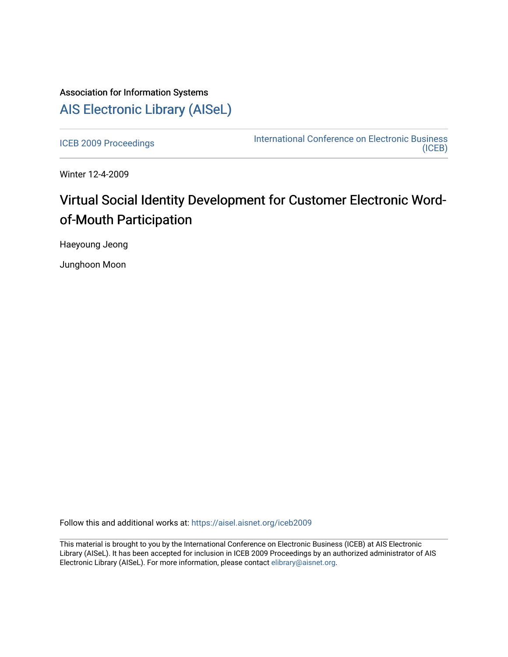## Association for Information Systems [AIS Electronic Library \(AISeL\)](https://aisel.aisnet.org/)

[ICEB 2009 Proceedings](https://aisel.aisnet.org/iceb2009) **International Conference on Electronic Business** [\(ICEB\)](https://aisel.aisnet.org/iceb) 

Winter 12-4-2009

# Virtual Social Identity Development for Customer Electronic Wordof-Mouth Participation

Haeyoung Jeong

Junghoon Moon

Follow this and additional works at: [https://aisel.aisnet.org/iceb2009](https://aisel.aisnet.org/iceb2009?utm_source=aisel.aisnet.org%2Ficeb2009%2F21&utm_medium=PDF&utm_campaign=PDFCoverPages)

This material is brought to you by the International Conference on Electronic Business (ICEB) at AIS Electronic Library (AISeL). It has been accepted for inclusion in ICEB 2009 Proceedings by an authorized administrator of AIS Electronic Library (AISeL). For more information, please contact [elibrary@aisnet.org.](mailto:elibrary@aisnet.org%3E)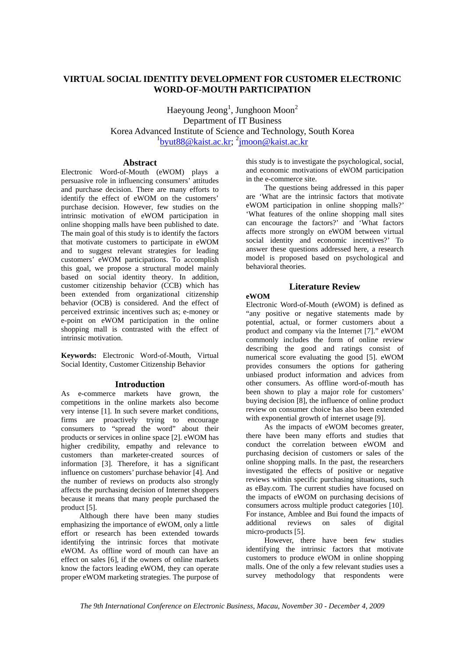## **VIRTUAL SOCIAL IDENTITY DEVELOPMENT FOR CUSTOMER ELECTRONIC WORD-OF-MOUTH PARTICIPATION**

Haeyoung Jeong<sup>1</sup>, Junghoon Moon<sup>2</sup> Department of IT Business Korea Advanced Institute of Science and Technology, South Korea <sup>1</sup>byut88@kaist.ac.kr; <sup>2</sup>jmoon@kaist.ac.kr

## **Abstract**

Electronic Word-of-Mouth (eWOM) plays a persuasive role in influencing consumers' attitudes and purchase decision. There are many efforts to identify the effect of eWOM on the customers' purchase decision. However, few studies on the intrinsic motivation of eWOM participation in online shopping malls have been published to date. The main goal of this study is to identify the factors that motivate customers to participate in eWOM and to suggest relevant strategies for leading customers' eWOM participations. To accomplish this goal, we propose a structural model mainly based on social identity theory. In addition, customer citizenship behavior (CCB) which has been extended from organizational citizenship behavior (OCB) is considered. And the effect of perceived extrinsic incentives such as; e-money or e-point on eWOM participation in the online shopping mall is contrasted with the effect of intrinsic motivation.

**Keywords:** Electronic Word-of-Mouth, Virtual Social Identity, Customer Citizenship Behavior

#### **Introduction**

As e-commerce markets have grown, the competitions in the online markets also become very intense [1]. In such severe market conditions, firms are proactively trying to encourage consumers to "spread the word" about their products or services in online space [2]. eWOM has higher credibility, empathy and relevance to customers than marketer-created sources of information [3]. Therefore, it has a significant influence on customers' purchase behavior [4]. And the number of reviews on products also strongly affects the purchasing decision of Internet shoppers because it means that many people purchased the product [5].

Although there have been many studies emphasizing the importance of eWOM, only a little effort or research has been extended towards identifying the intrinsic forces that motivate eWOM. As offline word of mouth can have an effect on sales [6], if the owners of online markets know the factors leading eWOM, they can operate proper eWOM marketing strategies. The purpose of this study is to investigate the psychological, social, and economic motivations of eWOM participation in the e-commerce site.

The questions being addressed in this paper are 'What are the intrinsic factors that motivate eWOM participation in online shopping malls?' 'What features of the online shopping mall sites can encourage the factors?' and 'What factors affects more strongly on eWOM between virtual social identity and economic incentives?' To answer these questions addressed here, a research model is proposed based on psychological and behavioral theories.

## **Literature Review**

#### **eWOM**

Electronic Word-of-Mouth (eWOM) is defined as "any positive or negative statements made by potential, actual, or former customers about a product and company via the Internet [7]." eWOM commonly includes the form of online review describing the good and ratings consist of numerical score evaluating the good [5]. eWOM provides consumers the options for gathering unbiased product information and advices from other consumers. As offline word-of-mouth has been shown to play a major role for customers' buying decision [8], the influence of online product review on consumer choice has also been extended with exponential growth of internet usage [9].

As the impacts of eWOM becomes greater, there have been many efforts and studies that conduct the correlation between eWOM and purchasing decision of customers or sales of the online shopping malls. In the past, the researchers investigated the effects of positive or negative reviews within specific purchasing situations, such as eBay.com. The current studies have focused on the impacts of eWOM on purchasing decisions of consumers across multiple product categories [10]. For instance, Amblee and Bui found the impacts of additional reviews on sales of digital micro-products [5].

However, there have been few studies identifying the intrinsic factors that motivate customers to produce eWOM in online shopping malls. One of the only a few relevant studies uses a survey methodology that respondents were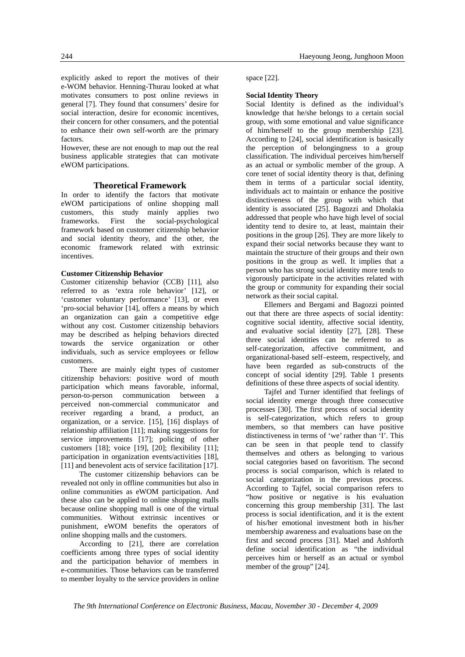explicitly asked to report the motives of their e-WOM behavior. Henning-Thurau looked at what motivates consumers to post online reviews in general [7]. They found that consumers' desire for social interaction, desire for economic incentives, their concern for other consumers, and the potential to enhance their own self-worth are the primary factors.

However, these are not enough to map out the real business applicable strategies that can motivate eWOM participations.

## **Theoretical Framework**

In order to identify the factors that motivate eWOM participations of online shopping mall customers, this study mainly applies two frameworks. First the social-psychological framework based on customer citizenship behavior and social identity theory, and the other, the economic framework related with extrinsic incentives.

## **Customer Citizenship Behavior**

Customer citizenship behavior (CCB) [11], also referred to as 'extra role behavior' [12], or 'customer voluntary performance' [13], or even 'pro-social behavior [14], offers a means by which an organization can gain a competitive edge without any cost. Customer citizenship behaviors may be described as helping behaviors directed towards the service organization or other individuals, such as service employees or fellow customers.

There are mainly eight types of customer citizenship behaviors: positive word of mouth participation which means favorable, informal, person-to-person communication between a perceived non-commercial communicator and receiver regarding a brand, a product, an organization, or a service. [15], [16] displays of relationship affiliation [11]; making suggestions for service improvements [17]; policing of other customers [18]; voice [19], [20]; flexibility [11]; participation in organization events/activities [18], [11] and benevolent acts of service facilitation [17].

The customer citizenship behaviors can be revealed not only in offline communities but also in online communities as eWOM participation. And these also can be applied to online shopping malls because online shopping mall is one of the virtual communities. Without extrinsic incentives or punishment, eWOM benefits the operators of online shopping malls and the customers.

According to [21], there are correlation coefficients among three types of social identity and the participation behavior of members in e-communities. Those behaviors can be transferred to member loyalty to the service providers in online space [22].

## **Social Identity Theory**

Social Identity is defined as the individual's knowledge that he/she belongs to a certain social group, with some emotional and value significance of him/herself to the group membership [23]. According to [24], social identification is basically the perception of belongingness to a group classification. The individual perceives him/herself as an actual or symbolic member of the group. A core tenet of social identity theory is that, defining them in terms of a particular social identity, individuals act to maintain or enhance the positive distinctiveness of the group with which that identity is associated [25]. Bagozzi and Dholakia addressed that people who have high level of social identity tend to desire to, at least, maintain their positions in the group [26]. They are more likely to expand their social networks because they want to maintain the structure of their groups and their own positions in the group as well. It implies that a person who has strong social identity more tends to vigorously participate in the activities related with the group or community for expanding their social network as their social capital.

Ellemers and Bergami and Bagozzi pointed out that there are three aspects of social identity: cognitive social identity, affective social identity, and evaluative social identity [27], [28]. These three social identities can be referred to as self-categorization, affective commitment, and organizational-based self–esteem, respectively, and have been regarded as sub-constructs of the concept of social identity [29]. Table 1 presents definitions of these three aspects of social identity.

Tajfel and Turner identified that feelings of social identity emerge through three consecutive processes [30]. The first process of social identity is self-categorization, which refers to group members, so that members can have positive distinctiveness in terms of 'we' rather than 'I'. This can be seen in that people tend to classify themselves and others as belonging to various social categories based on favoritism. The second process is social comparison, which is related to social categorization in the previous process. According to Tajfel, social comparison refers to "how positive or negative is his evaluation concerning this group membership [31]. The last process is social identification, and it is the extent of his/her emotional investment both in his/her membership awareness and evaluations base on the first and second process [31]. Mael and Ashforth define social identification as "the individual perceives him or herself as an actual or symbol member of the group" [24].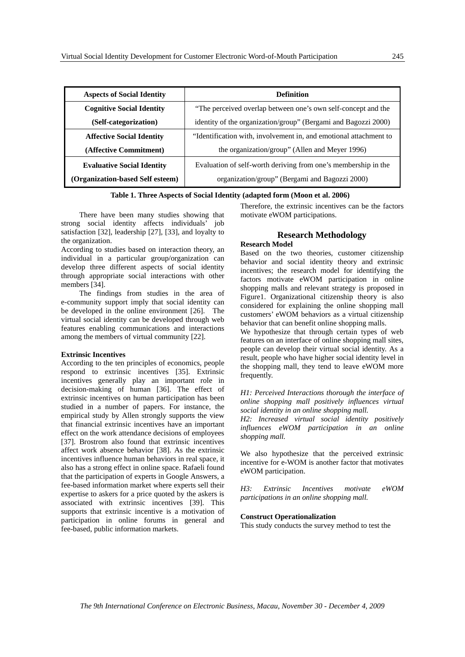| <b>Aspects of Social Identity</b> | <b>Definition</b>                                                 |  |
|-----------------------------------|-------------------------------------------------------------------|--|
| <b>Cognitive Social Identity</b>  | "The perceived overlap between one's own self-concept and the     |  |
| (Self-categorization)             | identity of the organization/group" (Bergami and Bagozzi 2000)    |  |
| <b>Affective Social Identity</b>  | "Identification with, involvement in, and emotional attachment to |  |
| (Affective Commitment)            | the organization/group" (Allen and Meyer 1996)                    |  |
| <b>Evaluative Social Identity</b> | Evaluation of self-worth deriving from one's membership in the    |  |
| (Organization-based Self esteem)  | organization/group" (Bergami and Bagozzi 2000)                    |  |

## **Table 1. Three Aspects of Social Identity (adapted form (Moon et al. 2006)**

There have been many studies showing that strong social identity affects individuals' job satisfaction [32], leadership [27], [33], and loyalty to the organization.

According to studies based on interaction theory, an individual in a particular group/organization can develop three different aspects of social identity through appropriate social interactions with other members [34].

The findings from studies in the area of e-community support imply that social identity can be developed in the online environment [26]. The virtual social identity can be developed through web features enabling communications and interactions among the members of virtual community [22].

#### **Extrinsic Incentives**

According to the ten principles of economics, people respond to extrinsic incentives [35]. Extrinsic incentives generally play an important role in decision-making of human [36]. The effect of extrinsic incentives on human participation has been studied in a number of papers. For instance, the empirical study by Allen strongly supports the view that financial extrinsic incentives have an important effect on the work attendance decisions of employees [37]. Brostrom also found that extrinsic incentives affect work absence behavior [38]. As the extrinsic incentives influence human behaviors in real space, it also has a strong effect in online space. Rafaeli found that the participation of experts in Google Answers, a fee-based information market where experts sell their expertise to askers for a price quoted by the askers is associated with extrinsic incentives [39]. This supports that extrinsic incentive is a motivation of participation in online forums in general and fee-based, public information markets.

Therefore, the extrinsic incentives can be the factors motivate eWOM participations.

## **Research Methodology**

## **Research Model**

Based on the two theories, customer citizenship behavior and social identity theory and extrinsic incentives; the research model for identifying the factors motivate eWOM participation in online shopping malls and relevant strategy is proposed in Figure1. Organizational citizenship theory is also considered for explaining the online shopping mall customers' eWOM behaviors as a virtual citizenship behavior that can benefit online shopping malls.

We hypothesize that through certain types of web features on an interface of online shopping mall sites, people can develop their virtual social identity. As a result, people who have higher social identity level in the shopping mall, they tend to leave eWOM more frequently.

*H1: Perceived Interactions thorough the interface of online shopping mall positively influences virtual social identity in an online shopping mall.* 

*H2: Increased virtual social identity positively influences eWOM participation in an online shopping mall.* 

We also hypothesize that the perceived extrinsic incentive for e-WOM is another factor that motivates eWOM participation.

*H3: Extrinsic Incentives motivate eWOM participations in an online shopping mall.* 

## **Construct Operationalization**

This study conducts the survey method to test the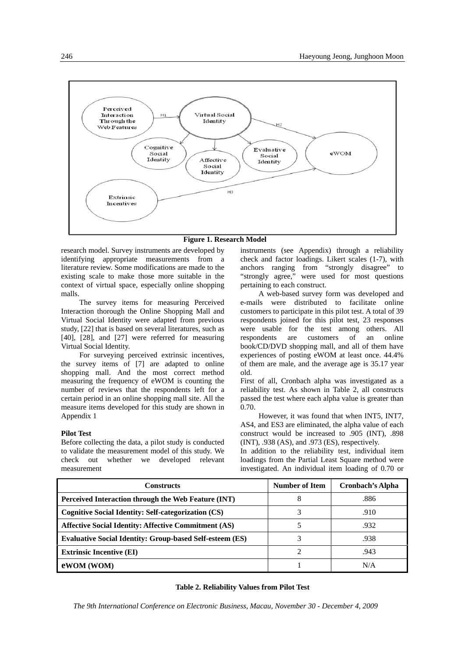

## **Figure 1. Research Model**

research model. Survey instruments are developed by identifying appropriate measurements from a literature review. Some modifications are made to the existing scale to make those more suitable in the context of virtual space, especially online shopping malls.

The survey items for measuring Perceived Interaction thorough the Online Shopping Mall and Virtual Social Identity were adapted from previous study, [22] that is based on several literatures, such as [40], [28], and [27] were referred for measuring Virtual Social Identity.

For surveying perceived extrinsic incentives, the survey items of [7] are adapted to online shopping mall. And the most correct method measuring the frequency of eWOM is counting the number of reviews that the respondents left for a certain period in an online shopping mall site. All the measure items developed for this study are shown in Appendix 1

#### **Pilot Test**

Before collecting the data, a pilot study is conducted to validate the measurement model of this study. We check out whether we developed relevant measurement

instruments (see Appendix) through a reliability check and factor loadings. Likert scales (1-7), with anchors ranging from "strongly disagree" to "strongly agree," were used for most questions pertaining to each construct.

A web-based survey form was developed and e-mails were distributed to facilitate online customers to participate in this pilot test. A total of 39 respondents joined for this pilot test, 23 responses were usable for the test among others. All respondents are customers of an online book/CD/DVD shopping mall, and all of them have experiences of posting eWOM at least once. 44.4% of them are male, and the average age is 35.17 year old.

First of all, Cronbach alpha was investigated as a reliability test. As shown in Table 2, all constructs passed the test where each alpha value is greater than 0.70.

However, it was found that when INT5, INT7, AS4, and ES3 are eliminated, the alpha value of each construct would be increased to .905 (INT), .898 (INT), .938 (AS), and .973 (ES), respectively.

In addition to the reliability test, individual item loadings from the Partial Least Square method were investigated. An individual item loading of 0.70 or

| <b>Constructs</b>                                               | <b>Number of Item</b> | Cronbach's Alpha |
|-----------------------------------------------------------------|-----------------------|------------------|
| Perceived Interaction through the Web Feature (INT)             | 8                     | .886             |
| <b>Cognitive Social Identity: Self-categorization (CS)</b>      | 3                     | .910             |
| <b>Affective Social Identity: Affective Commitment (AS)</b>     |                       | .932             |
| <b>Evaluative Social Identity: Group-based Self-esteem (ES)</b> |                       | .938             |
| <b>Extrinsic Incentive (EI)</b>                                 | າ                     | .943             |
| eWOM (WOM)                                                      |                       | N/A              |

## **Table 2. Reliability Values from Pilot Test**

*The 9th International Conference on Electronic Business, Macau, November 30 - December 4, 2009*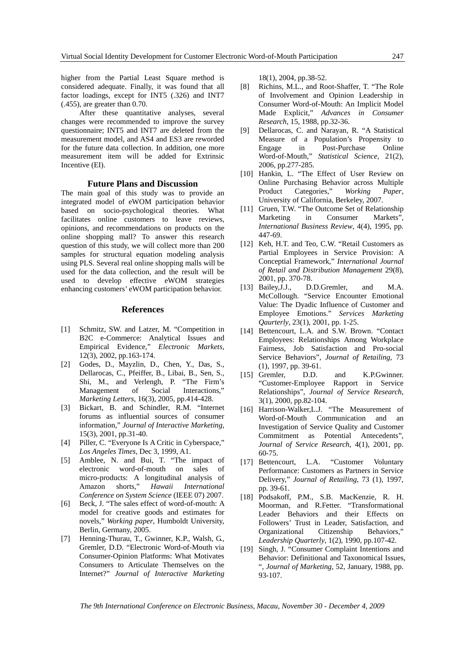higher from the Partial Least Square method is considered adequate. Finally, it was found that all factor loadings, except for INT5 (.326) and INT7 (.455), are greater than 0.70.

After these quantitative analyses, several changes were recommended to improve the survey questionnaire; INT5 and INT7 are deleted from the measurement model, and AS4 and ES3 are reworded for the future data collection. In addition, one more measurement item will be added for Extrinsic Incentive (EI).

## **Future Plans and Discussion**

The main goal of this study was to provide an integrated model of eWOM participation behavior based on socio-psychological theories. What facilitates online customers to leave reviews, opinions, and recommendations on products on the online shopping mall? To answer this research question of this study, we will collect more than 200 samples for structural equation modeling analysis using PLS. Several real online shopping malls will be used for the data collection, and the result will be used to develop effective eWOM strategies enhancing customers' eWOM participation behavior.

#### **References**

- [1] Schmitz, SW. and Latzer, M. "Competition in B2C e-Commerce: Analytical Issues and Empirical Evidence," *Electronic Markets*, 12(3), 2002, pp.163-174.
- [2] Godes, D., Mayzlin, D., Chen, Y., Das, S., Dellarocas, C., Pfeiffer, B., Libai, B., Sen, S., Shi, M., and Verlengh, P. "The Firm's Management of Social Interactions," *Marketing Letters,* 16(3), 2005, pp.414-428.
- [3] Bickart, B. and Schindler, R.M. "Internet forums as influential sources of consumer information," *Journal of Interactive Marketing*, 15(3), 2001, pp.31-40.
- [4] Piller, C. "Everyone Is A Critic in Cyberspace," *Los Angeles Times*, Dec 3, 1999, A1.
- [5] Amblee, N. and Bui, T. "The impact of electronic word-of-mouth on sales of micro-products: A longitudinal analysis of Amazon shorts," *Hawaii International Conference on System Science* (IEEE 07) 2007.
- [6] Beck, J. "The sales effect of word-of-mouth: A model for creative goods and estimates for novels," *Working paper*, Humboldt University, Berlin, Germany, 2005.
- [7] Henning-Thurau, T., Gwinner, K.P., Walsh, G., Gremler, D.D. "Electronic Word-of-Mouth via Consumer-Opinion Platforms: What Motivates Consumers to Articulate Themselves on the Internet?" *Journal of Interactive Marketing*

18(1), 2004, pp.38-52.

- [8] Richins, M.L., and Root-Shaffer, T. "The Role of Involvement and Opinion Leadership in Consumer Word-of-Mouth: An Implicit Model Made Explicit," *Advances in Consumer Research*, 15, 1988, pp.32-36.
- [9] Dellarocas, C. and Narayan, R. "A Statistical Measure of a Population's Propensity to Engage in Post-Purchase Online Word-of-Mouth," *Statistical Science*, 21(2), 2006, pp.277-285.
- [10] Hankin, L. "The Effect of User Review on Online Purchasing Behavior across Multiple Product Categories," *Working Paper*, University of California, Berkeley, 2007.
- [11] Gruen, T.W. "The Outcome Set of Relationship Marketing in Consumer Markets", *International Business Review*, 4(4), 1995, pp. 447-69.
- [12] Keh, H.T. and Teo, C.W. "Retail Customers as Partial Employees in Service Provision: A Conceptial Framework," *International Journal of Retail and Distribution Management* 29(8), 2001, pp. 370-78.
- [13] Bailey,J.J., D.D.Gremler, and M.A. McCollough. "Service Encounter Emotional Value: The Dyadic Influence of Customer and Employee Emotions." *Services Marketing Qaurterly*, 23(1), 2001, pp. 1-25.
- [14] Bettencourt, L.A. and S.W. Brown. "Contact" Employees: Relationships Among Workplace Fairness, Job Satisfaction and Pro-social Service Behaviors", *Journal of Retailing*, 73 (1), 1997, pp. 39-61.
- [15] Gremler, D.D. and K.P.Gwinner. "Customer-Employee Rapport in Service Relationships", *Journal of Service Research*, 3(1), 2000, pp.82-104.
- [16] Harrison-Walker, L.J. "The Measurement of Word-of-Mouth Communication and an Investigation of Service Quality and Customer Commitment as Potential Antecedents", *Journal of Service Research*, 4(1), 2001, pp. 60-75.
- [17] Bettencourt, L.A. "Customer Voluntary Performance: Customers as Partners in Service Delivery," *Journal of Retailing*, 73 (1), 1997, pp. 39-61.
- [18] Podsakoff, P.M., S.B. MacKenzie, R. H. Moorman, and R.Fetter. "Transformational Leader Behaviors and their Effects on Followers' Trust in Leader, Satisfaction, and Organizational Citizenship Behaviors," *Leadership Quarterly*, 1(2), 1990, pp.107-42.
- [19] Singh, J. "Consumer Complaint Intentions and Behavior: Definitional and Taxonomical Issues, ", *Journal of Marketing*, 52, January, 1988, pp. 93-107.

*The 9th International Conference on Electronic Business, Macau, November 30 - December 4, 2009*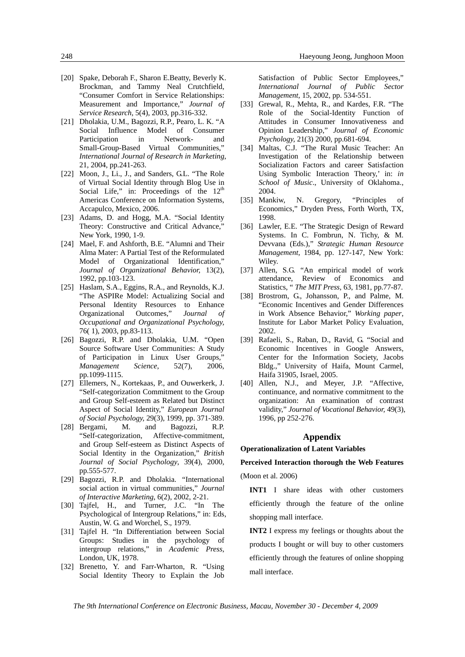- [20] Spake, Deborah F., Sharon E.Beatty, Beverly K. Brockman, and Tammy Neal Crutchfield, "Consumer Comfort in Service Relationships: Measurement and Importance," *Journal of Service Research*, 5(4), 2003, pp.316-332.
- [21] Dholakia, U.M., Bagozzi, R.P., Pearo, L. K. "A Social Influence Model of Consumer Participation in Network- and Small-Group-Based Virtual Communities," *International Journal of Research in Marketing*, 21, 2004, pp.241-263.
- [22] Moon, J., Li., J., and Sanders, G.L. "The Role of Virtual Social Identity through Blog Use in Social Life," in: Proceedings of the  $12<sup>th</sup>$ Americas Conference on Information Systems, Accapulco, Mexico, 2006.
- [23] Adams, D. and Hogg, M.A. "Social Identity Theory: Constructive and Critical Advance," New York, 1990, 1-9.
- [24] Mael, F. and Ashforth, B.E. "Alumni and Their Alma Mater: A Partial Test of the Reformulated Model of Organizational Identification," *Journal of Organizational Behavior,* 13(2), 1992, pp.103-123.
- [25] Haslam, S.A., Eggins, R.A., and Reynolds, K.J. "The ASPIRe Model: Actualizing Social and Personal Identity Resources to Enhance Organizational Outcomes," *Journal of Occupational and Organizational Psychology,*  76( 1), 2003, pp.83-113.
- [26] Bagozzi, R.P. and Dholakia, U.M. "Open Source Software User Communities: A Study of Participation in Linux User Groups," *Management Science*, 52(7), 2006, pp.1099-1115.
- [27] Ellemers, N., Kortekaas, P., and Ouwerkerk, J. "Self-categorization Commitment to the Group and Group Self-esteem as Related but Distinct Aspect of Social Identity," *European Journal of Social Psychology,* 29(3), 1999, pp. 371-389.
- [28] Bergami, M. and Bagozzi, R.P. "Self-categorization, Affective-commitment, and Group Self-esteem as Distinct Aspects of Social Identity in the Organization," *British Journal of Social Psychology*, 39(4), 2000, pp.555-577.
- [29] Bagozzi, R.P. and Dholakia. "International social action in virtual communities," *Journal of Interactive Marketing*, 6(2), 2002, 2-21.
- [30] Tajfel, H., and Turner, J.C. "In The Psychological of Intergroup Relations," in: Eds, Austin, W. G. and Worchel, S., 1979.
- [31] Tajfel H. "In Differentiation between Social Groups: Studies in the psychology of intergroup relations," in *Academic Press*, London, UK, 1978.
- [32] Brenetto, Y. and Farr-Wharton, R. "Using Social Identity Theory to Explain the Job

Satisfaction of Public Sector Employees," *International Journal of Public Sector Management*, 15, 2002, pp. 534-551.

- [33] Grewal, R., Mehta, R., and Kardes, F.R. "The Role of the Social-Identity Function of Attitudes in Consumer Innovativeness and Opinion Leadership," *Journal of Economic Psychology,* 21(3) 2000, pp.681-694.
- [34] Maltas, C.J. "The Rural Music Teacher: An Investigation of the Relationship between Socialization Factors and career Satisfaction Using Symbolic Interaction Theory,' in: *in School of Music*., University of Oklahoma., 2004.
- [35] Mankiw, N. Gregory, "Principles of Economics," Dryden Press, Forth Worth, TX, 1998.
- [36] Lawler, E.E. "The Strategic Design of Reward Systems. In C. Fombrun, N. Tichy, & M. Devvana (Eds.)," *Strategic Human Resource Management*, 1984, pp. 127-147, New York: Wiley.
- [37] Allen, S.G. "An empirical model of work attendance, Review of Economics and Statistics, " *The MIT Press*, 63, 1981, pp.77-87.
- [38] Brostrom, G., Johansson, P., and Palme, M. "Economic Incentives and Gender Differences in Work Absence Behavior," *Working paper*, Institute for Labor Market Policy Evaluation, 2002.
- [39] Rafaeli, S., Raban, D., Ravid, G. "Social and Economic Incentives in Google Answers, Center for the Information Society, Jacobs Bldg.," University of Haifa, Mount Carmel, Haifa 31905, Israel, 2005.
- [40] Allen, N.J., and Meyer, J.P. "Affective, continuance, and normative commitment to the organization: An examination of contrast validity," *Journal of Vocational Behavior,* 49(3), 1996, pp 252-276.

## **Appendix**

## **Operationalization of Latent Variables**

## **Perceived Interaction thorough the Web Features**

(Moon et al. 2006)

**INT1** I share ideas with other customers efficiently through the feature of the online shopping mall interface.

**INT2** I express my feelings or thoughts about the products I bought or will buy to other customers efficiently through the features of online shopping mall interface.